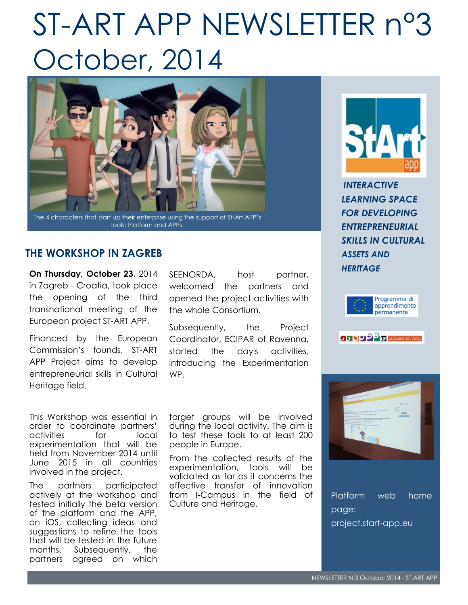# ST-ART APP NEWSLETTER n°3 October, 2014



The 4 characters that start up their enterprise using the support of St-Art APP's tools: Platform and APPs.

# **THE WORKSHOP IN ZAGREB**

**On Thursday, October 23**, 2014 in Zagreb - Croatia, took place the opening of the third transnational meeting of the European project ST-ART APP.

Financed by the European Commission's founds, ST-ART APP Project aims to develop entrepreneurial skills in Cultural Heritage field.

This Workshop was essential in order to coordinate partners' activities for local experimentation that will be held from November 2014 until June 2015 in all countries involved in the project.

The partners participated actively at the workshop and tested initially the beta version of the platform and the APP, on iOS, collecting ideas and suggestions to refine the tools that will be tested in the future months. Subsequently, the partners agreed on which

SEENORDA, host partner, welcomed the partners and opened the project activities with the whole Consortium.

Subsequently, the Project Coordinator, ECIPAR of Ravenna, started the day's activities, introducing the Experimentation WP.

target groups will be involved during the local activity. The aim is to test these tools to at least 200 people in Europe.

From the collected results of the experimentation, tools will be validated as far as it concerns the effective transfer of innovation from I-Campus in the field of Culture and Heritage.



*INTERACTIVE LEARNING SPACE FOR DEVELOPING ENTREPRENEURIAL SKILLS IN CULTURAL ASSETS AND HERITAGE*





**SISSIPP TE LEONARDO DA VINCI** 



Platform web home page: project.start-app.eu